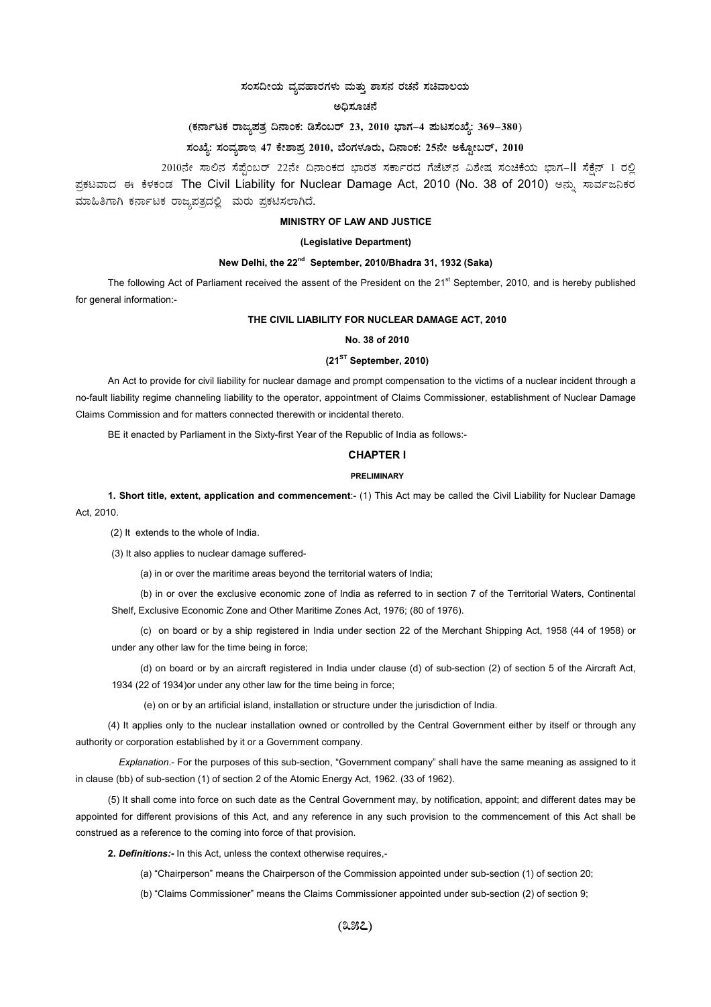## $\pi$ ನಂಸದೀಯ ವ್ಯವಹಾರಗಳು ಮತ್ತು ಶಾಸನ ರಚನೆ ಸಚಿವಾಲಯ

#### **C¢ü¸ÀÆZÀ£É**

## (ಕರ್ನಾಟಕ ರಾಜ್ಯಪತ್ರ ದಿನಾಂಕ: ಡಿಸೆಂಬರ್ 23, 2010 ಭಾಗ–4 **ಮಟಸಂಖ್ಯೆ: 369–380**)

# ಸಂಖ್ಯೆ: ಸಂವ್ಯಶಾಇ 47 ಕೇಶಾಪ್ರ 2010, ಬೆಂಗಳೂರು, ದಿನಾಂಕ: 25ನೇ ಅಕ್ಟೋಬರ್, 2010

2010ನೇ ಸಾಲಿನ ಸೆಪ್ಸೆಂಬರ್ 22ನೇ ದಿನಾಂಕದ ಭಾರತ ಸರ್ಕಾರದ ಗೆಜೆಟ್ನ ವಿಶೇಷ ಸಂಚಿಕೆಯ ಭಾಗ-II ಸೆಕ್ಸೆನ್ 1 ರಲ್ಲಿ ಪ್ರಕಟವಾದ ಈ ಕೆಳಕಂಡ The Civil Liability for Nuclear Damage Act, 2010 (No. 38 of 2010) ಅನ್ನು ಸಾರ್ವಜನಿಕರ ಮಾಹಿತಿಗಾಗಿ ಕರ್ನಾಟಕ ರಾಜ್ಯಪತ್ರದಲ್ಲಿ ಮರು ಪ್ರಕಟಿಸಲಾಗಿದೆ.

### **MINISTRY OF LAW AND JUSTICE**

### **(Legislative Department)**

## **New Delhi, the 22nd September, 2010/Bhadra 31, 1932 (Saka)**

The following Act of Parliament received the assent of the President on the 21<sup>st</sup> September, 2010, and is hereby published for general information:-

## **THE CIVIL LIABILITY FOR NUCLEAR DAMAGE ACT, 2010**

#### **No. 38 of 2010**

### **(21ST September, 2010)**

An Act to provide for civil liability for nuclear damage and prompt compensation to the victims of a nuclear incident through a no-fault liability regime channeling liability to the operator, appointment of Claims Commissioner, establishment of Nuclear Damage Claims Commission and for matters connected therewith or incidental thereto.

BE it enacted by Parliament in the Sixty-first Year of the Republic of India as follows:-

### **CHAPTER I**

#### **PRELIMINARY**

**1. Short title, extent, application and commencement**:- (1) This Act may be called the Civil Liability for Nuclear Damage Act, 2010.

(2) It extends to the whole of India.

(3) It also applies to nuclear damage suffered-

(a) in or over the maritime areas beyond the territorial waters of India;

(b) in or over the exclusive economic zone of India as referred to in section 7 of the Territorial Waters, Continental Shelf, Exclusive Economic Zone and Other Maritime Zones Act, 1976; (80 of 1976).

(c) on board or by a ship registered in India under section 22 of the Merchant Shipping Act, 1958 (44 of 1958) or under any other law for the time being in force;

(d) on board or by an aircraft registered in India under clause (d) of sub-section (2) of section 5 of the Aircraft Act, 1934 (22 of 1934)or under any other law for the time being in force;

(e) on or by an artificial island, installation or structure under the jurisdiction of India.

(4) It applies only to the nuclear installation owned or controlled by the Central Government either by itself or through any authority or corporation established by it or a Government company.

*Explanation*.- For the purposes of this sub-section, "Government company" shall have the same meaning as assigned to it in clause (bb) of sub-section (1) of section 2 of the Atomic Energy Act, 1962. (33 of 1962).

(5) It shall come into force on such date as the Central Government may, by notification, appoint; and different dates may be appointed for different provisions of this Act, and any reference in any such provision to the commencement of this Act shall be construed as a reference to the coming into force of that provision.

**2.** *Definitions:-* In this Act, unless the context otherwise requires,-

(a) "Chairperson" means the Chairperson of the Commission appointed under sub-section (1) of section 20;

(b) "Claims Commissioner" means the Claims Commissioner appointed under sub-section (2) of section 9;

**(357)**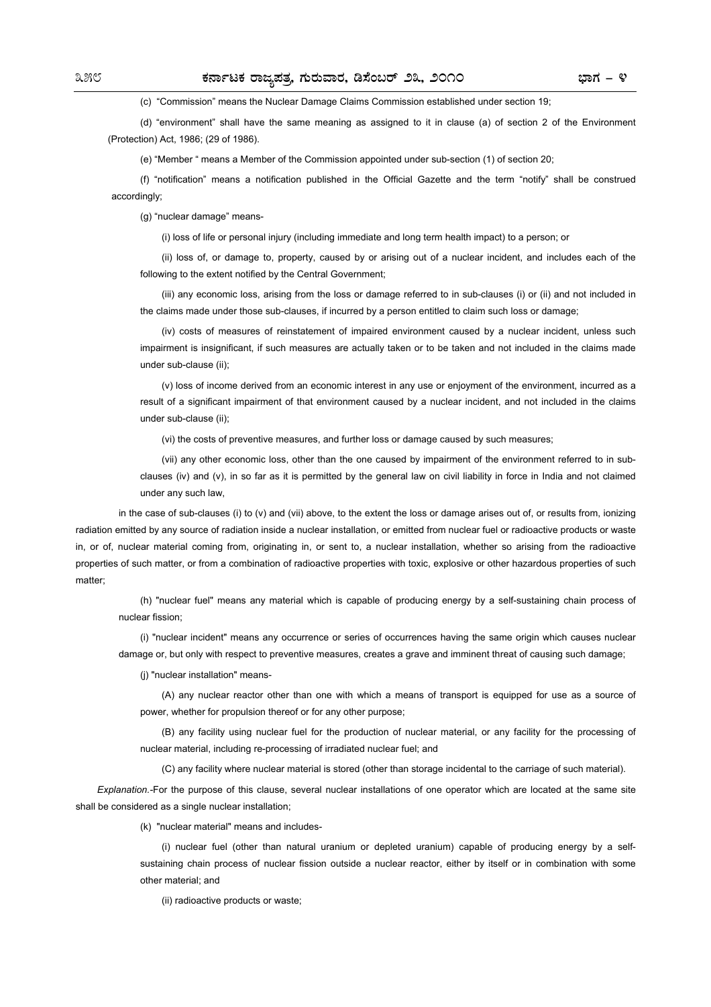(c) "Commission" means the Nuclear Damage Claims Commission established under section 19;

(d) "environment" shall have the same meaning as assigned to it in clause (a) of section 2 of the Environment (Protection) Act, 1986; (29 of 1986).

(e) "Member " means a Member of the Commission appointed under sub-section (1) of section 20;

(f) "notification" means a notification published in the Official Gazette and the term "notify" shall be construed accordingly;

(g) "nuclear damage" means-

(i) loss of life or personal injury (including immediate and long term health impact) to a person; or

(ii) loss of, or damage to, property, caused by or arising out of a nuclear incident, and includes each of the following to the extent notified by the Central Government;

(iii) any economic loss, arising from the loss or damage referred to in sub-clauses (i) or (ii) and not included in the claims made under those sub-clauses, if incurred by a person entitled to claim such loss or damage;

(iv) costs of measures of reinstatement of impaired environment caused by a nuclear incident, unless such impairment is insignificant, if such measures are actually taken or to be taken and not included in the claims made under sub-clause (ii);

(v) loss of income derived from an economic interest in any use or enjoyment of the environment, incurred as a result of a significant impairment of that environment caused by a nuclear incident, and not included in the claims under sub-clause (ii);

(vi) the costs of preventive measures, and further loss or damage caused by such measures;

(vii) any other economic loss, other than the one caused by impairment of the environment referred to in subclauses (iv) and (v), in so far as it is permitted by the general law on civil liability in force in India and not claimed under any such law,

in the case of sub-clauses (i) to (v) and (vii) above, to the extent the loss or damage arises out of, or results from, ionizing radiation emitted by any source of radiation inside a nuclear installation, or emitted from nuclear fuel or radioactive products or waste in, or of, nuclear material coming from, originating in, or sent to, a nuclear installation, whether so arising from the radioactive properties of such matter, or from a combination of radioactive properties with toxic, explosive or other hazardous properties of such matter;

(h) "nuclear fuel" means any material which is capable of producing energy by a self-sustaining chain process of nuclear fission;

(i) "nuclear incident" means any occurrence or series of occurrences having the same origin which causes nuclear damage or, but only with respect to preventive measures, creates a grave and imminent threat of causing such damage;

(j) "nuclear installation" means-

(A) any nuclear reactor other than one with which a means of transport is equipped for use as a source of power, whether for propulsion thereof or for any other purpose;

(B) any facility using nuclear fuel for the production of nuclear material, or any facility for the processing of nuclear material, including re-processing of irradiated nuclear fuel; and

(C) any facility where nuclear material is stored (other than storage incidental to the carriage of such material).

*Explanation.-*For the purpose of this clause, several nuclear installations of one operator which are located at the same site shall be considered as a single nuclear installation;

(k) "nuclear material" means and includes-

(i) nuclear fuel (other than natural uranium or depleted uranium) capable of producing energy by a selfsustaining chain process of nuclear fission outside a nuclear reactor, either by itself or in combination with some other material; and

(ii) radioactive products or waste: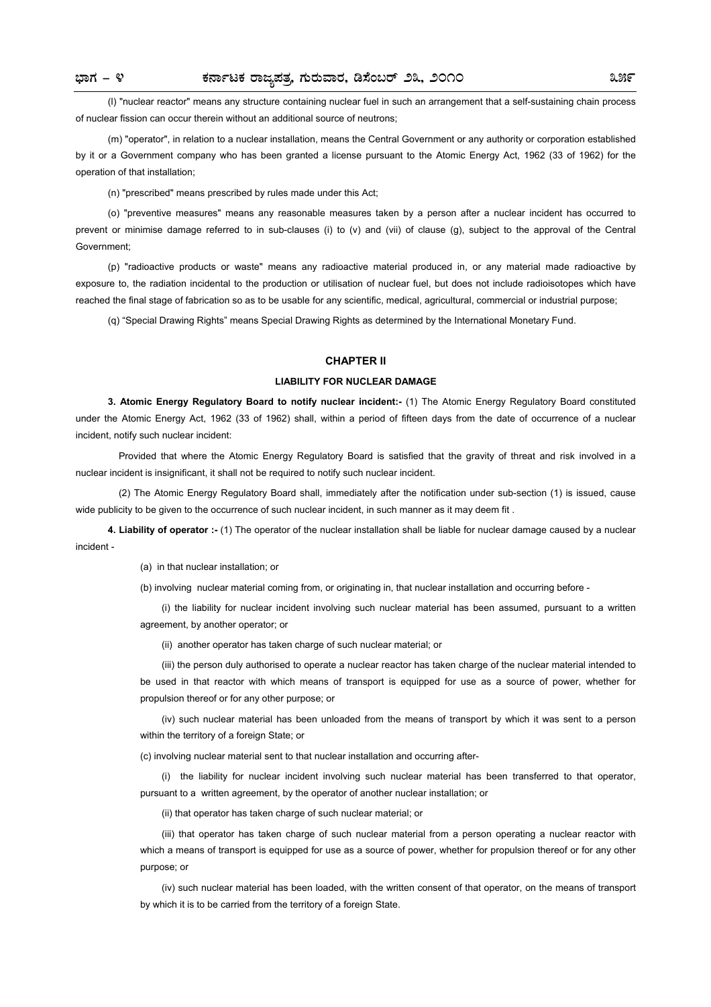(l) "nuclear reactor" means any structure containing nuclear fuel in such an arrangement that a self-sustaining chain process of nuclear fission can occur therein without an additional source of neutrons;

(m) "operator", in relation to a nuclear installation, means the Central Government or any authority or corporation established by it or a Government company who has been granted a license pursuant to the Atomic Energy Act, 1962 (33 of 1962) for the operation of that installation;

(n) "prescribed" means prescribed by rules made under this Act;

(o) "preventive measures" means any reasonable measures taken by a person after a nuclear incident has occurred to prevent or minimise damage referred to in sub-clauses (i) to (v) and (vii) of clause (g), subject to the approval of the Central Government;

(p) "radioactive products or waste" means any radioactive material produced in, or any material made radioactive by exposure to, the radiation incidental to the production or utilisation of nuclear fuel, but does not include radioisotopes which have reached the final stage of fabrication so as to be usable for any scientific, medical, agricultural, commercial or industrial purpose;

(q) "Special Drawing Rights" means Special Drawing Rights as determined by the International Monetary Fund.

## **CHAPTER II**

### **LIABILITY FOR NUCLEAR DAMAGE**

**3. Atomic Energy Regulatory Board to notify nuclear incident:-** (1) The Atomic Energy Regulatory Board constituted under the Atomic Energy Act, 1962 (33 of 1962) shall, within a period of fifteen days from the date of occurrence of a nuclear incident, notify such nuclear incident:

Provided that where the Atomic Energy Regulatory Board is satisfied that the gravity of threat and risk involved in a nuclear incident is insignificant, it shall not be required to notify such nuclear incident.

(2) The Atomic Energy Regulatory Board shall, immediately after the notification under sub-section (1) is issued, cause wide publicity to be given to the occurrence of such nuclear incident, in such manner as it may deem fit .

**4. Liability of operator :-** (1) The operator of the nuclear installation shall be liable for nuclear damage caused by a nuclear incident -

(a) in that nuclear installation; or

(b) involving nuclear material coming from, or originating in, that nuclear installation and occurring before -

(i) the liability for nuclear incident involving such nuclear material has been assumed, pursuant to a written agreement, by another operator; or

(ii) another operator has taken charge of such nuclear material; or

(iii) the person duly authorised to operate a nuclear reactor has taken charge of the nuclear material intended to be used in that reactor with which means of transport is equipped for use as a source of power, whether for propulsion thereof or for any other purpose; or

(iv) such nuclear material has been unloaded from the means of transport by which it was sent to a person within the territory of a foreign State; or

(c) involving nuclear material sent to that nuclear installation and occurring after-

(i) the liability for nuclear incident involving such nuclear material has been transferred to that operator, pursuant to a written agreement, by the operator of another nuclear installation; or

(ii) that operator has taken charge of such nuclear material; or

(iii) that operator has taken charge of such nuclear material from a person operating a nuclear reactor with which a means of transport is equipped for use as a source of power, whether for propulsion thereof or for any other purpose; or

(iv) such nuclear material has been loaded, with the written consent of that operator, on the means of transport by which it is to be carried from the territory of a foreign State.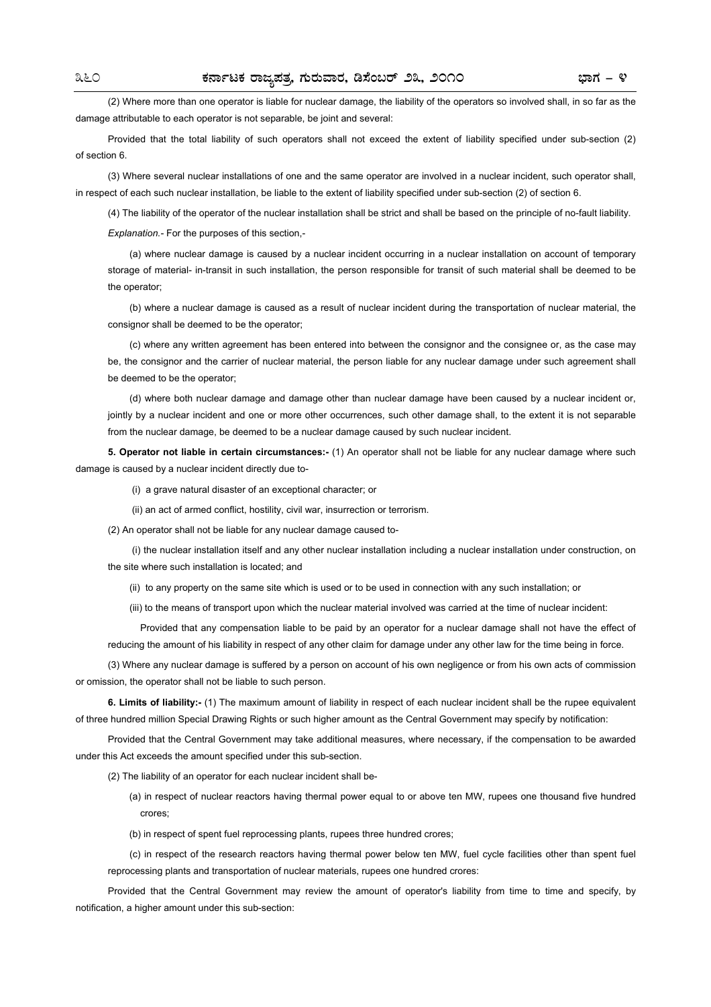(2) Where more than one operator is liable for nuclear damage, the liability of the operators so involved shall, in so far as the damage attributable to each operator is not separable, be joint and several:

Provided that the total liability of such operators shall not exceed the extent of liability specified under sub-section (2) of section 6.

(3) Where several nuclear installations of one and the same operator are involved in a nuclear incident, such operator shall, in respect of each such nuclear installation, be liable to the extent of liability specified under sub-section (2) of section 6.

(4) The liability of the operator of the nuclear installation shall be strict and shall be based on the principle of no-fault liability.

*Explanation.-* For the purposes of this section,-

(a) where nuclear damage is caused by a nuclear incident occurring in a nuclear installation on account of temporary storage of material- in-transit in such installation, the person responsible for transit of such material shall be deemed to be the operator;

(b) where a nuclear damage is caused as a result of nuclear incident during the transportation of nuclear material, the consignor shall be deemed to be the operator;

(c) where any written agreement has been entered into between the consignor and the consignee or, as the case may be, the consignor and the carrier of nuclear material, the person liable for any nuclear damage under such agreement shall be deemed to be the operator;

(d) where both nuclear damage and damage other than nuclear damage have been caused by a nuclear incident or, jointly by a nuclear incident and one or more other occurrences, such other damage shall, to the extent it is not separable from the nuclear damage, be deemed to be a nuclear damage caused by such nuclear incident.

**5. Operator not liable in certain circumstances:-** (1) An operator shall not be liable for any nuclear damage where such damage is caused by a nuclear incident directly due to-

(i) a grave natural disaster of an exceptional character; or

(ii) an act of armed conflict, hostility, civil war, insurrection or terrorism.

(2) An operator shall not be liable for any nuclear damage caused to-

(i) the nuclear installation itself and any other nuclear installation including a nuclear installation under construction, on the site where such installation is located; and

(ii) to any property on the same site which is used or to be used in connection with any such installation; or

(iii) to the means of transport upon which the nuclear material involved was carried at the time of nuclear incident:

Provided that any compensation liable to be paid by an operator for a nuclear damage shall not have the effect of reducing the amount of his liability in respect of any other claim for damage under any other law for the time being in force.

(3) Where any nuclear damage is suffered by a person on account of his own negligence or from his own acts of commission or omission, the operator shall not be liable to such person.

**6. Limits of liability:-** (1) The maximum amount of liability in respect of each nuclear incident shall be the rupee equivalent of three hundred million Special Drawing Rights or such higher amount as the Central Government may specify by notification:

Provided that the Central Government may take additional measures, where necessary, if the compensation to be awarded under this Act exceeds the amount specified under this sub-section.

(2) The liability of an operator for each nuclear incident shall be-

- (a) in respect of nuclear reactors having thermal power equal to or above ten MW, rupees one thousand five hundred crores;
- (b) in respect of spent fuel reprocessing plants, rupees three hundred crores;

(c) in respect of the research reactors having thermal power below ten MW, fuel cycle facilities other than spent fuel reprocessing plants and transportation of nuclear materials, rupees one hundred crores:

Provided that the Central Government may review the amount of operator's liability from time to time and specify, by notification, a higher amount under this sub-section: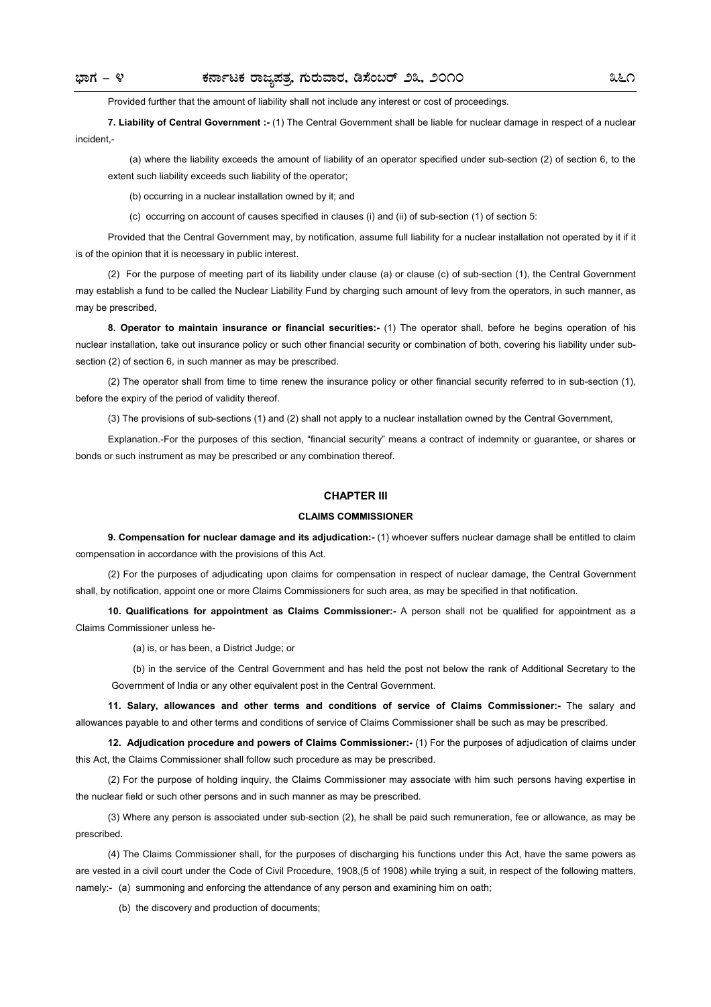Provided further that the amount of liability shall not include any interest or cost of proceedings.

**7. Liability of Central Government :-** (1) The Central Government shall be liable for nuclear damage in respect of a nuclear incident -

(a) where the liability exceeds the amount of liability of an operator specified under sub-section (2) of section 6, to the extent such liability exceeds such liability of the operator;

(b) occurring in a nuclear installation owned by it; and

(c) occurring on account of causes specified in clauses (i) and (ii) of sub-section (1) of section 5:

Provided that the Central Government may, by notification, assume full liability for a nuclear installation not operated by it if it is of the opinion that it is necessary in public interest.

(2) For the purpose of meeting part of its liability under clause (a) or clause (c) of sub-section (1), the Central Government may establish a fund to be called the Nuclear Liability Fund by charging such amount of levy from the operators, in such manner, as may be prescribed,

**8. Operator to maintain insurance or financial securities:-** (1) The operator shall, before he begins operation of his nuclear installation, take out insurance policy or such other financial security or combination of both, covering his liability under subsection (2) of section 6, in such manner as may be prescribed.

(2) The operator shall from time to time renew the insurance policy or other financial security referred to in sub-section (1), before the expiry of the period of validity thereof.

(3) The provisions of sub-sections (1) and (2) shall not apply to a nuclear installation owned by the Central Government,

Explanation.-For the purposes of this section, "financial security" means a contract of indemnity or guarantee, or shares or bonds or such instrument as may be prescribed or any combination thereof.

#### **CHAPTER III**

#### **CLAIMS COMMISSIONER**

**9. Compensation for nuclear damage and its adjudication:-** (1) whoever suffers nuclear damage shall be entitled to claim compensation in accordance with the provisions of this Act.

(2) For the purposes of adjudicating upon claims for compensation in respect of nuclear damage, the Central Government shall, by notification, appoint one or more Claims Commissioners for such area, as may be specified in that notification.

**10. Qualifications for appointment as Claims Commissioner:-** A person shall not be qualified for appointment as a Claims Commissioner unless he-

(a) is, or has been, a District Judge; or

(b) in the service of the Central Government and has held the post not below the rank of Additional Secretary to the Government of India or any other equivalent post in the Central Government.

**11. Salary, allowances and other terms and conditions of service of Claims Commissioner:-** The salary and allowances payable to and other terms and conditions of service of Claims Commissioner shall be such as may be prescribed.

**12. Adjudication procedure and powers of Claims Commissioner:-** (1) For the purposes of adjudication of claims under this Act, the Claims Commissioner shall follow such procedure as may be prescribed.

(2) For the purpose of holding inquiry, the Claims Commissioner may associate with him such persons having expertise in the nuclear field or such other persons and in such manner as may be prescribed.

(3) Where any person is associated under sub-section (2), he shall be paid such remuneration, fee or allowance, as may be prescribed.

(4) The Claims Commissioner shall, for the purposes of discharging his functions under this Act, have the same powers as are vested in a civil court under the Code of Civil Procedure, 1908,(5 of 1908) while trying a suit, in respect of the following matters, namely:- (a) summoning and enforcing the attendance of any person and examining him on oath;

(b) the discovery and production of documents;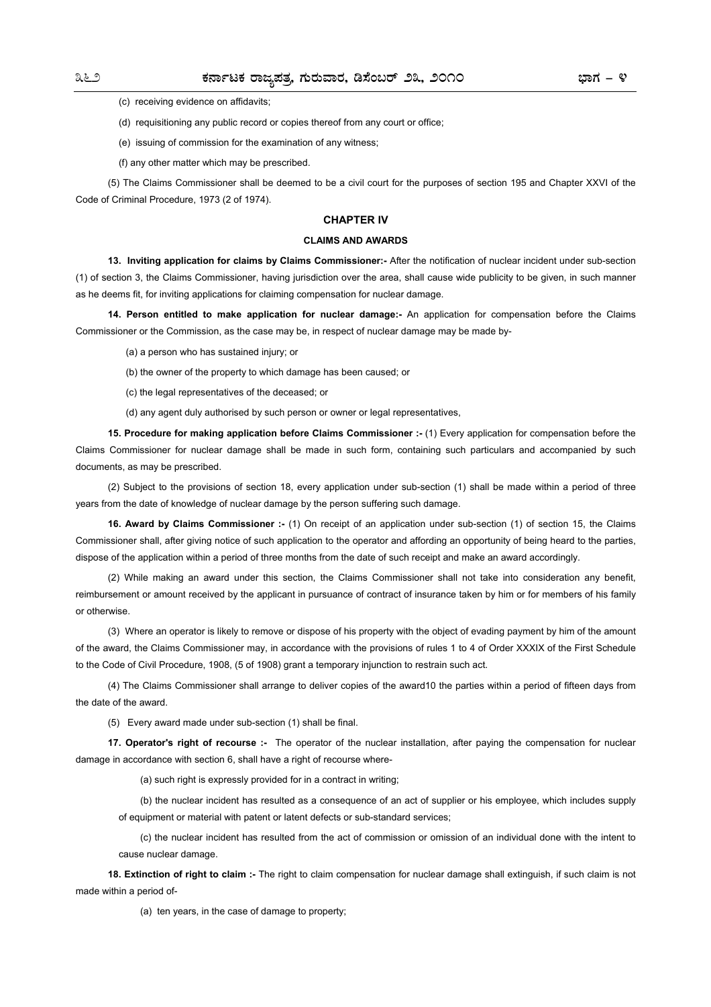(c) receiving evidence on affidavits;

(d) requisitioning any public record or copies thereof from any court or office;

(e) issuing of commission for the examination of any witness;

(f) any other matter which may be prescribed.

(5) The Claims Commissioner shall be deemed to be a civil court for the purposes of section 195 and Chapter XXVI of the Code of Criminal Procedure, 1973 (2 of 1974).

## **CHAPTER IV**

## **CLAIMS AND AWARDS**

**13. Inviting application for claims by Claims Commissioner:-** After the notification of nuclear incident under sub-section (1) of section 3, the Claims Commissioner, having jurisdiction over the area, shall cause wide publicity to be given, in such manner as he deems fit, for inviting applications for claiming compensation for nuclear damage.

**14. Person entitled to make application for nuclear damage:-** An application for compensation before the Claims Commissioner or the Commission, as the case may be, in respect of nuclear damage may be made by-

- (a) a person who has sustained injury; or
- (b) the owner of the property to which damage has been caused; or
- (c) the legal representatives of the deceased; or
- (d) any agent duly authorised by such person or owner or legal representatives,

**15. Procedure for making application before Claims Commissioner :- (1)** Every application for compensation before the Claims Commissioner for nuclear damage shall be made in such form, containing such particulars and accompanied by such documents, as may be prescribed.

(2) Subject to the provisions of section 18, every application under sub-section (1) shall be made within a period of three years from the date of knowledge of nuclear damage by the person suffering such damage.

**16. Award by Claims Commissioner :-** (1) On receipt of an application under sub-section (1) of section 15, the Claims Commissioner shall, after giving notice of such application to the operator and affording an opportunity of being heard to the parties, dispose of the application within a period of three months from the date of such receipt and make an award accordingly.

(2) While making an award under this section, the Claims Commissioner shall not take into consideration any benefit, reimbursement or amount received by the applicant in pursuance of contract of insurance taken by him or for members of his family or otherwise.

(3) Where an operator is likely to remove or dispose of his property with the object of evading payment by him of the amount of the award, the Claims Commissioner may, in accordance with the provisions of rules 1 to 4 of Order XXXIX of the First Schedule to the Code of Civil Procedure, 1908, (5 of 1908) grant a temporary injunction to restrain such act.

(4) The Claims Commissioner shall arrange to deliver copies of the award10 the parties within a period of fifteen days from the date of the award.

(5) Every award made under sub-section (1) shall be final.

**17. Operator's right of recourse :-** The operator of the nuclear installation, after paying the compensation for nuclear damage in accordance with section 6, shall have a right of recourse where-

(a) such right is expressly provided for in a contract in writing;

(b) the nuclear incident has resulted as a consequence of an act of supplier or his employee, which includes supply of equipment or material with patent or latent defects or sub-standard services;

(c) the nuclear incident has resulted from the act of commission or omission of an individual done with the intent to cause nuclear damage.

**18. Extinction of right to claim :-** The right to claim compensation for nuclear damage shall extinguish, if such claim is not made within a period of-

(a) ten years, in the case of damage to property;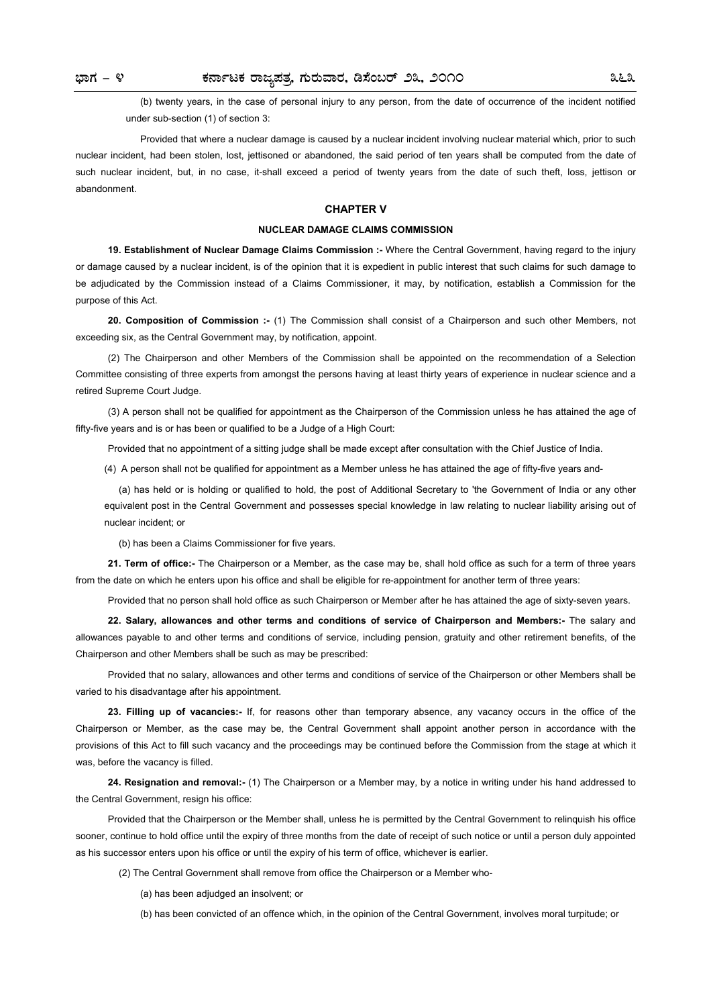(b) twenty years, in the case of personal injury to any person, from the date of occurrence of the incident notified under sub-section (1) of section 3:

Provided that where a nuclear damage is caused by a nuclear incident involving nuclear material which, prior to such nuclear incident, had been stolen, lost, jettisoned or abandoned, the said period of ten years shall be computed from the date of such nuclear incident, but, in no case, it-shall exceed a period of twenty years from the date of such theft, loss, jettison or abandonment.

#### **CHAPTER V**

### **NUCLEAR DAMAGE CLAIMS COMMISSION**

**19. Establishment of Nuclear Damage Claims Commission :-** Where the Central Government, having regard to the injury or damage caused by a nuclear incident, is of the opinion that it is expedient in public interest that such claims for such damage to be adjudicated by the Commission instead of a Claims Commissioner, it may, by notification, establish a Commission for the purpose of this Act.

**20. Composition of Commission :-** (1) The Commission shall consist of a Chairperson and such other Members, not exceeding six, as the Central Government may, by notification, appoint.

(2) The Chairperson and other Members of the Commission shall be appointed on the recommendation of a Selection Committee consisting of three experts from amongst the persons having at least thirty years of experience in nuclear science and a retired Supreme Court Judge.

(3) A person shall not be qualified for appointment as the Chairperson of the Commission unless he has attained the age of fifty-five years and is or has been or qualified to be a Judge of a High Court:

Provided that no appointment of a sitting judge shall be made except after consultation with the Chief Justice of India.

(4) A person shall not be qualified for appointment as a Member unless he has attained the age of fifty-five years and-

(a) has held or is holding or qualified to hold, the post of Additional Secretary to 'the Government of India or any other equivalent post in the Central Government and possesses special knowledge in law relating to nuclear liability arising out of nuclear incident; or

(b) has been a Claims Commissioner for five years.

**21. Term of office:-** The Chairperson or a Member, as the case may be, shall hold office as such for a term of three years from the date on which he enters upon his office and shall be eligible for re-appointment for another term of three years:

Provided that no person shall hold office as such Chairperson or Member after he has attained the age of sixty-seven years.

**22. Salary, allowances and other terms and conditions of service of Chairperson and Members:-** The salary and allowances payable to and other terms and conditions of service, including pension, gratuity and other retirement benefits, of the Chairperson and other Members shall be such as may be prescribed:

Provided that no salary, allowances and other terms and conditions of service of the Chairperson or other Members shall be varied to his disadvantage after his appointment.

**23. Filling up of vacancies:-** If, for reasons other than temporary absence, any vacancy occurs in the office of the Chairperson or Member, as the case may be, the Central Government shall appoint another person in accordance with the provisions of this Act to fill such vacancy and the proceedings may be continued before the Commission from the stage at which it was, before the vacancy is filled.

**24. Resignation and removal:-** (1) The Chairperson or a Member may, by a notice in writing under his hand addressed to the Central Government, resign his office:

Provided that the Chairperson or the Member shall, unless he is permitted by the Central Government to relinquish his office sooner, continue to hold office until the expiry of three months from the date of receipt of such notice or until a person duly appointed as his successor enters upon his office or until the expiry of his term of office, whichever is earlier.

(2) The Central Government shall remove from office the Chairperson or a Member who-

(a) has been adjudged an insolvent; or

(b) has been convicted of an offence which, in the opinion of the Central Government, involves moral turpitude; or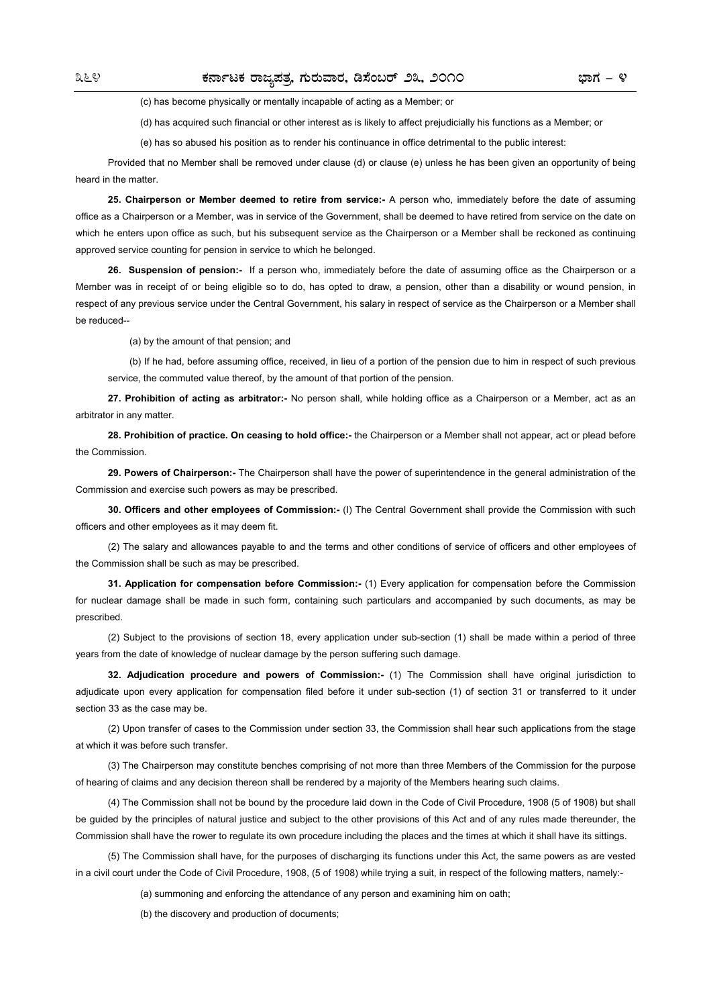(c) has become physically or mentally incapable of acting as a Member; or

(d) has acquired such financial or other interest as is likely to affect prejudicially his functions as a Member; or

(e) has so abused his position as to render his continuance in office detrimental to the public interest:

Provided that no Member shall be removed under clause (d) or clause (e) unless he has been given an opportunity of being heard in the matter.

**25. Chairperson or Member deemed to retire from service:-** A person who, immediately before the date of assuming office as a Chairperson or a Member, was in service of the Government, shall be deemed to have retired from service on the date on which he enters upon office as such, but his subsequent service as the Chairperson or a Member shall be reckoned as continuing approved service counting for pension in service to which he belonged.

**26. Suspension of pension:-** If a person who, immediately before the date of assuming office as the Chairperson or a Member was in receipt of or being eligible so to do, has opted to draw, a pension, other than a disability or wound pension, in respect of any previous service under the Central Government, his salary in respect of service as the Chairperson or a Member shall be reduced--

(a) by the amount of that pension; and

(b) If he had, before assuming office, received, in lieu of a portion of the pension due to him in respect of such previous service, the commuted value thereof, by the amount of that portion of the pension.

**27. Prohibition of acting as arbitrator:-** No person shall, while holding office as a Chairperson or a Member, act as an arbitrator in any matter.

**28. Prohibition of practice. On ceasing to hold office:-** the Chairperson or a Member shall not appear, act or plead before the Commission.

**29. Powers of Chairperson:-** The Chairperson shall have the power of superintendence in the general administration of the Commission and exercise such powers as may be prescribed.

**30. Officers and other employees of Commission:-** (I) The Central Government shall provide the Commission with such officers and other employees as it may deem fit.

(2) The salary and allowances payable to and the terms and other conditions of service of officers and other employees of the Commission shall be such as may be prescribed.

**31. Application for compensation before Commission:-** (1) Every application for compensation before the Commission for nuclear damage shall be made in such form, containing such particulars and accompanied by such documents, as may be prescribed.

(2) Subject to the provisions of section 18, every application under sub-section (1) shall be made within a period of three years from the date of knowledge of nuclear damage by the person suffering such damage.

**32. Adjudication procedure and powers of Commission:-** (1) The Commission shall have original jurisdiction to adjudicate upon every application for compensation filed before it under sub-section (1) of section 31 or transferred to it under section 33 as the case may be.

(2) Upon transfer of cases to the Commission under section 33, the Commission shall hear such applications from the stage at which it was before such transfer.

(3) The Chairperson may constitute benches comprising of not more than three Members of the Commission for the purpose of hearing of claims and any decision thereon shall be rendered by a majority of the Members hearing such claims.

(4) The Commission shall not be bound by the procedure laid down in the Code of Civil Procedure, 1908 (5 of 1908) but shall be guided by the principles of natural justice and subject to the other provisions of this Act and of any rules made thereunder, the Commission shall have the rower to regulate its own procedure including the places and the times at which it shall have its sittings.

(5) The Commission shall have, for the purposes of discharging its functions under this Act, the same powers as are vested in a civil court under the Code of Civil Procedure, 1908, (5 of 1908) while trying a suit, in respect of the following matters, namely:-

(a) summoning and enforcing the attendance of any person and examining him on oath;

(b) the discovery and production of documents;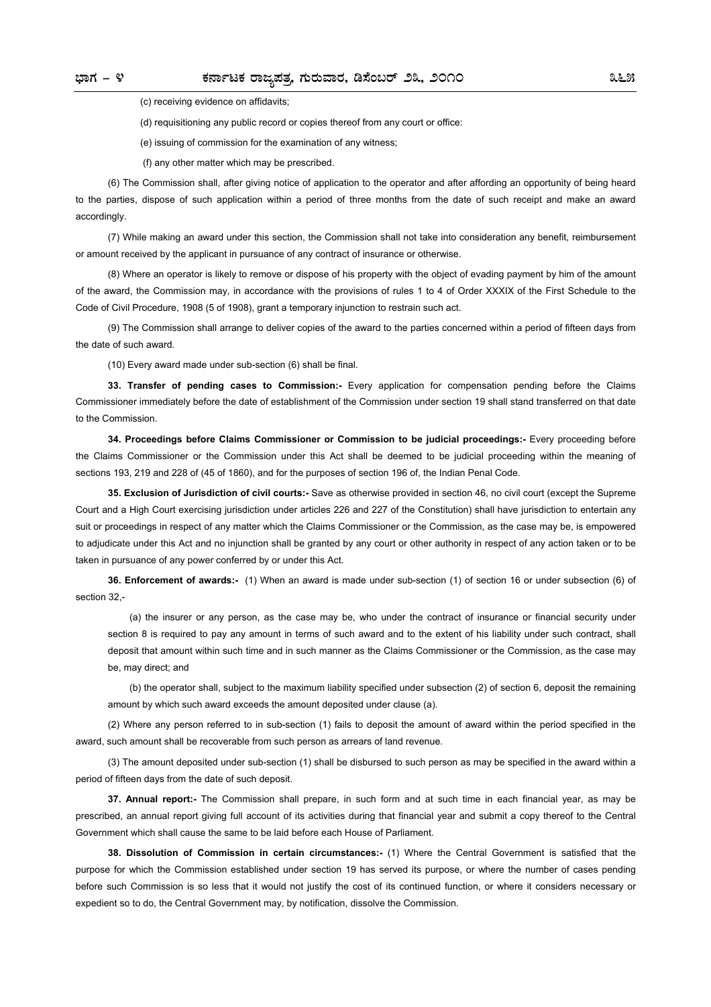(c) receiving evidence on affidavits;

(d) requisitioning any public record or copies thereof from any court or office:

(e) issuing of commission for the examination of any witness;

(f) any other matter which may be prescribed.

(6) The Commission shall, after giving notice of application to the operator and after affording an opportunity of being heard to the parties, dispose of such application within a period of three months from the date of such receipt and make an award accordingly.

(7) While making an award under this section, the Commission shall not take into consideration any benefit, reimbursement or amount received by the applicant in pursuance of any contract of insurance or otherwise.

(8) Where an operator is likely to remove or dispose of his property with the object of evading payment by him of the amount of the award, the Commission may, in accordance with the provisions of rules 1 to 4 of Order XXXIX of the First Schedule to the Code of Civil Procedure, 1908 (5 of 1908), grant a temporary injunction to restrain such act.

(9) The Commission shall arrange to deliver copies of the award to the parties concerned within a period of fifteen days from the date of such award.

(10) Every award made under sub-section (6) shall be final.

**33. Transfer of pending cases to Commission:-** Every application for compensation pending before the Claims Commissioner immediately before the date of establishment of the Commission under section 19 shall stand transferred on that date to the Commission.

**34. Proceedings before Claims Commissioner or Commission to be judicial proceedings:-** Every proceeding before the Claims Commissioner or the Commission under this Act shall be deemed to be judicial proceeding within the meaning of sections 193, 219 and 228 of (45 of 1860), and for the purposes of section 196 of, the Indian Penal Code.

**35. Exclusion of Jurisdiction of civil courts:-** Save as otherwise provided in section 46, no civil court (except the Supreme Court and a High Court exercising jurisdiction under articles 226 and 227 of the Constitution) shall have jurisdiction to entertain any suit or proceedings in respect of any matter which the Claims Commissioner or the Commission, as the case may be, is empowered to adjudicate under this Act and no injunction shall be granted by any court or other authority in respect of any action taken or to be taken in pursuance of any power conferred by or under this Act.

**36. Enforcement of awards:-** (1) When an award is made under sub-section (1) of section 16 or under subsection (6) of section 32,-

(a) the insurer or any person, as the case may be, who under the contract of insurance or financial security under section 8 is required to pay any amount in terms of such award and to the extent of his liability under such contract, shall deposit that amount within such time and in such manner as the Claims Commissioner or the Commission, as the case may be, may direct; and

(b) the operator shall, subject to the maximum liability specified under subsection (2) of section 6, deposit the remaining amount by which such award exceeds the amount deposited under clause (a).

(2) Where any person referred to in sub-section (1) fails to deposit the amount of award within the period specified in the award, such amount shall be recoverable from such person as arrears of land revenue.

(3) The amount deposited under sub-section (1) shall be disbursed to such person as may be specified in the award within a period of fifteen days from the date of such deposit.

**37. Annual report:-** The Commission shall prepare, in such form and at such time in each financial year, as may be prescribed, an annual report giving full account of its activities during that financial year and submit a copy thereof to the Central Government which shall cause the same to be laid before each House of Parliament.

**38. Dissolution of Commission in certain circumstances:-** (1) Where the Central Government is satisfied that the purpose for which the Commission established under section 19 has served its purpose, or where the number of cases pending before such Commission is so less that it would not justify the cost of its continued function, or where it considers necessary or expedient so to do, the Central Government may, by notification, dissolve the Commission.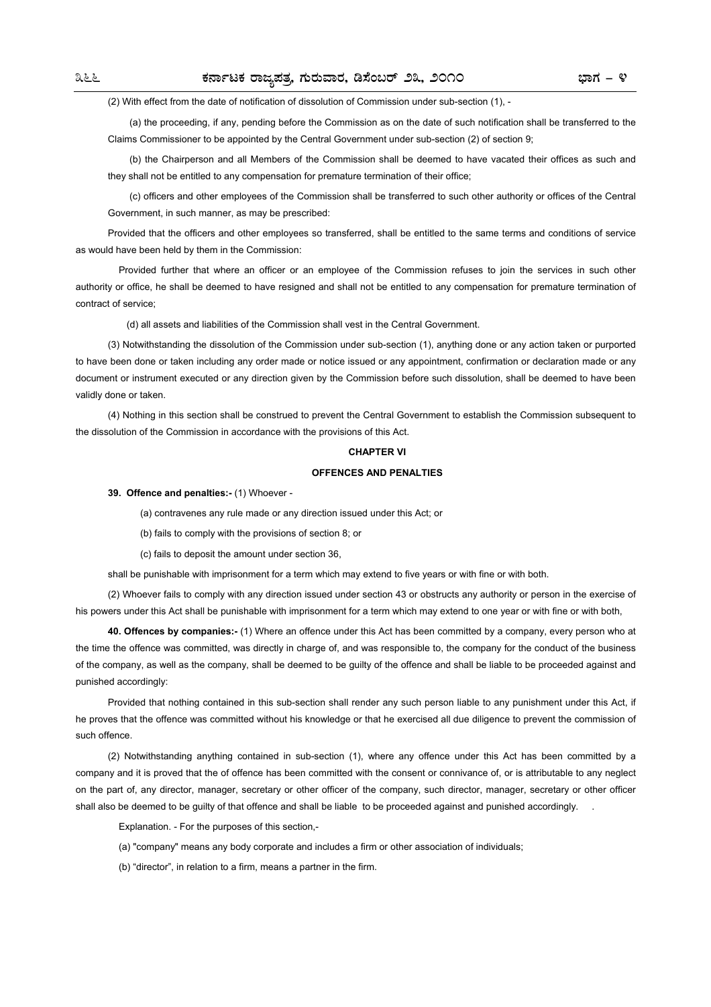(2) With effect from the date of notification of dissolution of Commission under sub-section (1), -

(a) the proceeding, if any, pending before the Commission as on the date of such notification shall be transferred to the Claims Commissioner to be appointed by the Central Government under sub-section (2) of section 9;

(b) the Chairperson and all Members of the Commission shall be deemed to have vacated their offices as such and they shall not be entitled to any compensation for premature termination of their office;

(c) officers and other employees of the Commission shall be transferred to such other authority or offices of the Central Government, in such manner, as may be prescribed:

Provided that the officers and other employees so transferred, shall be entitled to the same terms and conditions of service as would have been held by them in the Commission:

Provided further that where an officer or an employee of the Commission refuses to join the services in such other authority or office, he shall be deemed to have resigned and shall not be entitled to any compensation for premature termination of contract of service;

(d) all assets and liabilities of the Commission shall vest in the Central Government.

(3) Notwithstanding the dissolution of the Commission under sub-section (1), anything done or any action taken or purported to have been done or taken including any order made or notice issued or any appointment, confirmation or declaration made or any document or instrument executed or any direction given by the Commission before such dissolution, shall be deemed to have been validly done or taken.

(4) Nothing in this section shall be construed to prevent the Central Government to establish the Commission subsequent to the dissolution of the Commission in accordance with the provisions of this Act.

### **CHAPTER VI**

#### **OFFENCES AND PENALTIES**

### **39. Offence and penalties:-** (1) Whoever -

(a) contravenes any rule made or any direction issued under this Act; or

(b) fails to comply with the provisions of section 8; or

(c) fails to deposit the amount under section 36,

shall be punishable with imprisonment for a term which may extend to five years or with fine or with both.

(2) Whoever fails to comply with any direction issued under section 43 or obstructs any authority or person in the exercise of his powers under this Act shall be punishable with imprisonment for a term which may extend to one year or with fine or with both,

**40. Offences by companies:-** (1) Where an offence under this Act has been committed by a company, every person who at the time the offence was committed, was directly in charge of, and was responsible to, the company for the conduct of the business of the company, as well as the company, shall be deemed to be guilty of the offence and shall be liable to be proceeded against and punished accordingly:

Provided that nothing contained in this sub-section shall render any such person liable to any punishment under this Act, if he proves that the offence was committed without his knowledge or that he exercised all due diligence to prevent the commission of such offence.

(2) Notwithstanding anything contained in sub-section (1), where any offence under this Act has been committed by a company and it is proved that the of offence has been committed with the consent or connivance of, or is attributable to any neglect on the part of, any director, manager, secretary or other officer of the company, such director, manager, secretary or other officer shall also be deemed to be quilty of that offence and shall be liable to be proceeded against and punished accordingly.

Explanation. - For the purposes of this section,-

- (a) "company" means any body corporate and includes a firm or other association of individuals;
- (b) "director", in relation to a firm, means a partner in the firm.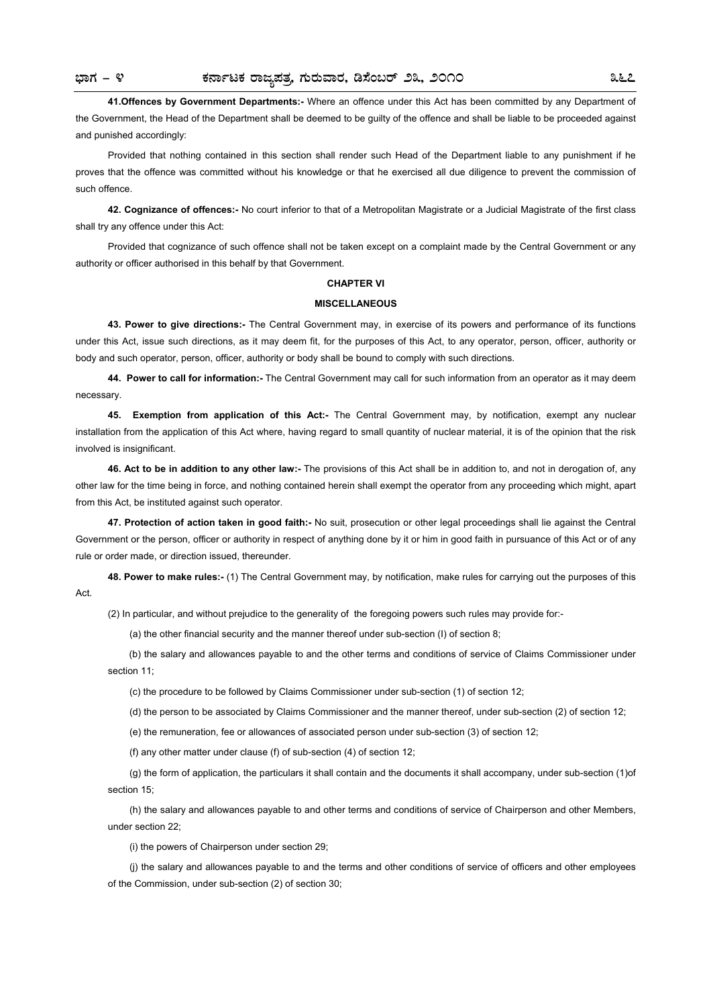Act.

**41.Offences by Government Departments:-** Where an offence under this Act has been committed by any Department of the Government, the Head of the Department shall be deemed to be guilty of the offence and shall be liable to be proceeded against and punished accordingly:

Provided that nothing contained in this section shall render such Head of the Department liable to any punishment if he proves that the offence was committed without his knowledge or that he exercised all due diligence to prevent the commission of such offence.

**42. Cognizance of offences:-** No court inferior to that of a Metropolitan Magistrate or a Judicial Magistrate of the first class shall try any offence under this Act:

Provided that cognizance of such offence shall not be taken except on a complaint made by the Central Government or any authority or officer authorised in this behalf by that Government.

#### **CHAPTER VI**

#### **MISCELLANEOUS**

**43. Power to give directions:-** The Central Government may, in exercise of its powers and performance of its functions under this Act, issue such directions, as it may deem fit, for the purposes of this Act, to any operator, person, officer, authority or body and such operator, person, officer, authority or body shall be bound to comply with such directions.

**44. Power to call for information:-** The Central Government may call for such information from an operator as it may deem necessary.

**45. Exemption from application of this Act:-** The Central Government may, by notification, exempt any nuclear installation from the application of this Act where, having regard to small quantity of nuclear material, it is of the opinion that the risk involved is insignificant.

**46. Act to be in addition to any other law:-** The provisions of this Act shall be in addition to, and not in derogation of, any other law for the time being in force, and nothing contained herein shall exempt the operator from any proceeding which might, apart from this Act, be instituted against such operator.

**47. Protection of action taken in good faith:-** No suit, prosecution or other legal proceedings shall lie against the Central Government or the person, officer or authority in respect of anything done by it or him in good faith in pursuance of this Act or of any rule or order made, or direction issued, thereunder.

**48. Power to make rules:-** (1) The Central Government may, by notification, make rules for carrying out the purposes of this

(2) In particular, and without prejudice to the generality of the foregoing powers such rules may provide for:-

(a) the other financial security and the manner thereof under sub-section (I) of section 8;

 (b) the salary and allowances payable to and the other terms and conditions of service of Claims Commissioner under section 11;

(c) the procedure to be followed by Claims Commissioner under sub-section (1) of section 12;

(d) the person to be associated by Claims Commissioner and the manner thereof, under sub-section (2) of section 12;

(e) the remuneration, fee or allowances of associated person under sub-section (3) of section 12;

(f) any other matter under clause (f) of sub-section (4) of section 12;

(g) the form of application, the particulars it shall contain and the documents it shall accompany, under sub-section (1)of section 15;

(h) the salary and allowances payable to and other terms and conditions of service of Chairperson and other Members, under section 22;

(i) the powers of Chairperson under section 29;

(j) the salary and allowances payable to and the terms and other conditions of service of officers and other employees of the Commission, under sub-section (2) of section 30;